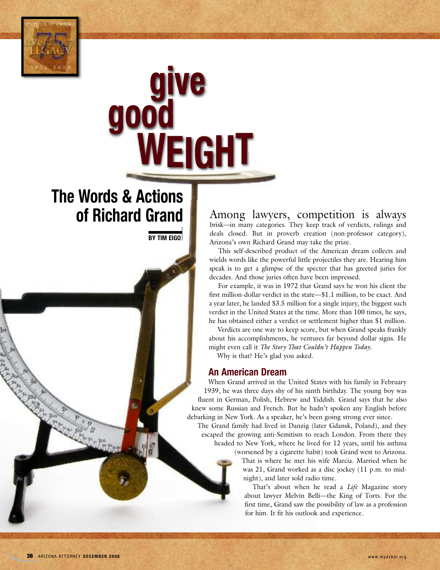

# **give good WEIGHT**

# **The Words & Actions of Richard Grand**

**BY TIM EIGO**

Among lawyers, competition is always brisk—in many categories. They keep track of verdicts, rulings and deals closed. But in proverb creation (non-professor category), Arizona's own Richard Grand may take the prize.

This self-described product of the American dream collects and wields words like the powerful little projectiles they are. Hearing him speak is to get a glimpse of the specter that has greeted juries for decades. And those juries often have been impressed.

For example, it was in 1972 that Grand says he won his client the first million-dollar verdict in the state—\$1.1 million, to be exact. And a year later, he landed \$3.5 million for a single injury, the biggest such verdict in the United States at the time. More than 100 times, he says, he has obtained either a verdict or settlement higher than \$1 million.

Verdicts are one way to keep score, but when Grand speaks frankly about his accomplishments, he ventures far beyond dollar signs. He might even call it *The Story That Couldn't Happen Today*.

Why is that? He's glad you asked.

### **An American Dream**

When Grand arrived in the United States with his family in February 1939, he was three days shy of his ninth birthday. The young boy was fluent in German, Polish, Hebrew and Yiddish. Grand says that he also knew some Russian and French. But he hadn't spoken any English before debarking in New York. As a speaker, he's been going strong ever since.

The Grand family had lived in Danzig (later Gdansk, Poland), and they escaped the growing anti-Semitism to reach London. From there they headed to New York, where he lived for 12 years, until his asthma

(worsened by a cigarette habit) took Grand west to Arizona. That is where he met his wife Marcia. Married when he was 21, Grand worked as a disc jockey (11 p.m. to midnight), and later sold radio time.

That's about when he read a *Life* Magazine story about lawyer Melvin Belli—the King of Torts. For the first time, Grand saw the possibility of law as a profession for him. It fit his outlook and experience.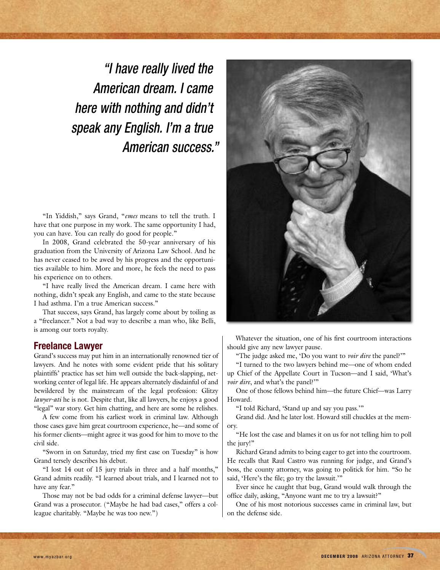*"I have really lived the American dream. I came here with nothing and didn't speak any English. I'm a true American success."*

"In Yiddish," says Grand, "*emes* means to tell the truth. I have that one purpose in my work. The same opportunity I had, you can have. You can really do good for people."

In 2008, Grand celebrated the 50-year anniversary of his graduation from the University of Arizona Law School. And he has never ceased to be awed by his progress and the opportunities available to him. More and more, he feels the need to pass his experience on to others.

"I have really lived the American dream. I came here with nothing, didn't speak any English, and came to the state because I had asthma. I'm a true American success."

That success, says Grand, has largely come about by toiling as a "freelancer." Not a bad way to describe a man who, like Belli, is among our torts royalty.

#### **Freelance Lawyer**

Grand's success may put him in an internationally renowned tier of lawyers. And he notes with some evident pride that his solitary plaintiffs' practice has set him well outside the back-slapping, networking center of legal life. He appears alternately disdainful of and bewildered by the mainstream of the legal profession: Glitzy *lawyer-ati* he is not. Despite that, like all lawyers, he enjoys a good "legal" war story. Get him chatting, and here are some he relishes.

A few come from his earliest work in criminal law. Although those cases gave him great courtroom experience, he—and some of his former clients—might agree it was good for him to move to the civil side.

"Sworn in on Saturday, tried my first case on Tuesday" is how Grand tersely describes his debut.

"I lost 14 out of 15 jury trials in three and a half months," Grand admits readily. "I learned about trials, and I learned not to have any fear."

Those may not be bad odds for a criminal defense lawyer—but Grand was a prosecutor. ("Maybe he had bad cases," offers a colleague charitably. "Maybe he was too new.")



Whatever the situation, one of his first courtroom interactions should give any new lawyer pause.

"The judge asked me, 'Do you want to *voir dire* the panel?'"

"I turned to the two lawyers behind me—one of whom ended up Chief of the Appellate Court in Tucson—and I said, 'What's *voir dire*, and what's the panel?"

One of those fellows behind him—the future Chief—was Larry Howard.

"I told Richard, 'Stand up and say you pass.'"

Grand did. And he later lost. Howard still chuckles at the memory.

"He lost the case and blames it on us for not telling him to poll the jury!"

Richard Grand admits to being eager to get into the courtroom. He recalls that Raul Castro was running for judge, and Grand's boss, the county attorney, was going to politick for him. "So he said, 'Here's the file; go try the lawsuit.'"

Ever since he caught that bug, Grand would walk through the office daily, asking, "Anyone want me to try a lawsuit?"

One of his most notorious successes came in criminal law, but on the defense side.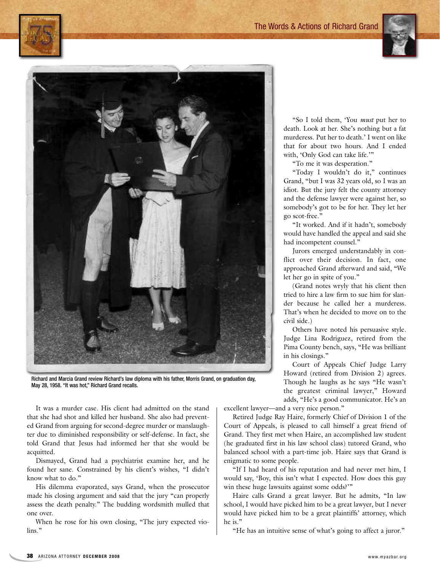#### The Words & Actions of Richard Grand

"So I told them, 'You *must* put her to death. Look at her. She's nothing but a fat murderess. Put her to death.' I went on like that for about two hours. And I ended with, 'Only God can take life.'"

"To me it was desperation."

"Today I wouldn't do it," continues Grand, "but I was 32 years old, so I was an idiot. But the jury felt the county attorney and the defense lawyer were against her, so somebody's got to be for her. They let her go scot-free."

"It worked. And if it hadn't, somebody would have handled the appeal and said she had incompetent counsel."

Jurors emerged understandably in conflict over their decision. In fact, one approached Grand afterward and said, "We let her go in spite of you."

(Grand notes wryly that his client then tried to hire a law firm to sue him for slander because he called her a murderess. That's when he decided to move on to the civil side.)

Others have noted his persuasive style. Judge Lina Rodriguez, retired from the Pima County bench, says, "He was brilliant in his closings."

Court of Appeals Chief Judge Larry Howard (retired from Division 2) agrees. Though he laughs as he says "He wasn't the greatest criminal lawyer," Howard adds, "He's a good communicator. He's an

excellent lawyer—and a very nice person."

Retired Judge Ray Haire, formerly Chief of Division 1 of the Court of Appeals, is pleased to call himself a great friend of Grand. They first met when Haire, an accomplished law student (he graduated first in his law school class) tutored Grand, who balanced school with a part-time job. Haire says that Grand is enigmatic to some people.

"If I had heard of his reputation and had never met him, I would say, 'Boy, this isn't what I expected. How does this guy win these huge lawsuits against some odds?""

Haire calls Grand a great lawyer. But he admits, "In law school, I would have picked him to be a great lawyer, but I never would have picked him to be a great plaintiffs' attorney, which he is."

"He has an intuitive sense of what's going to affect a juror."

Richard and Marcia Grand review Richard's law diploma with his father, Morris Grand, on graduation day, May 28, 1958. "It was hot," Richard Grand recalls.

It was a murder case. His client had admitted on the stand that she had shot and killed her husband. She also had prevented Grand from arguing for second-degree murder or manslaughter due to diminished responsibility or self-defense. In fact, she told Grand that Jesus had informed her that she would be acquitted.

Dismayed, Grand had a psychiatrist examine her, and he found her sane. Constrained by his client's wishes, "I didn't know what to do."

His dilemma evaporated, says Grand, when the prosecutor made his closing argument and said that the jury "can properly assess the death penalty." The budding wordsmith mulled that one over.

When he rose for his own closing, "The jury expected violins."





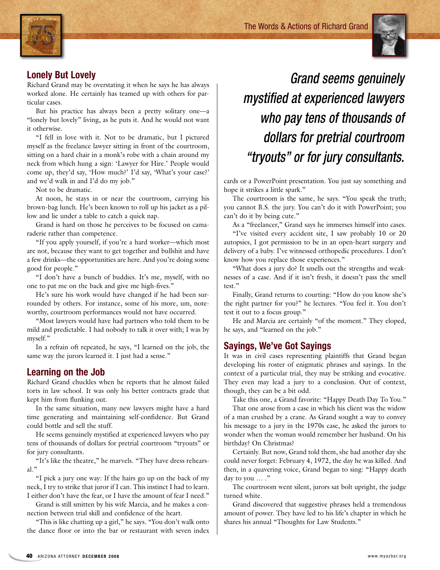

# **Lonely But Lovely**

Richard Grand may be overstating it when he says he has always worked alone. He certainly has teamed up with others for particular cases.

But his practice has always been a pretty solitary one—a "lonely but lovely" living, as he puts it. And he would not want it otherwise.

"I fell in love with it. Not to be dramatic, but I pictured myself as the freelance lawyer sitting in front of the courtroom, sitting on a hard chair in a monk's robe with a chain around my neck from which hung a sign: 'Lawyer for Hire.' People would come up, they'd say, 'How much?' I'd say, 'What's your case?' and we'd walk in and I'd do my job."

Not to be dramatic.

At noon, he stays in or near the courtroom, carrying his brown-bag lunch. He's been known to roll up his jacket as a pillow and lie under a table to catch a quick nap.

Grand is hard on those he perceives to be focused on camaraderie rather than competence.

"If you apply yourself, if you're a hard worker—which most are not, because they want to get together and bullshit and have a few drinks—the opportunities are here. And you're doing some good for people."

"I don't have a bunch of buddies. It's me, myself, with no one to pat me on the back and give me high-fives."

He's sure his work would have changed if he had been surrounded by others. For instance, some of his more, um, noteworthy, courtroom performances would not have occurred.

"Most lawyers would have had partners who told them to be mild and predictable. I had nobody to talk it over with; I was by myself."

In a refrain oft repeated, he says, "I learned on the job, the same way the jurors learned it. I just had a sense."

# **Learning on the Job**

Richard Grand chuckles when he reports that he almost failed torts in law school. It was only his better contracts grade that kept him from flunking out.

In the same situation, many new lawyers might have a hard time generating and maintaining self-confidence. But Grand could bottle and sell the stuff.

He seems genuinely mystified at experienced lawyers who pay tens of thousands of dollars for pretrial courtroom "tryouts" or for jury consultants.

"It's like the theatre," he marvels. "They have dress rehearsal."

"I pick a jury one way: If the hairs go up on the back of my neck, I try to strike that juror if I can. This instinct I had to learn. I either don't have the fear, or I have the amount of fear I need."

Grand is still smitten by his wife Marcia, and he makes a connection between trial skill and confidence of the heart.

"This is like chatting up a girl," he says. "You don't walk onto the dance floor or into the bar or restaurant with seven index

*Grand seems genuinely mystified at experienced lawyers who pay tens of thousands of dollars for pretrial courtroom "tryouts" or for jury consultants.*

cards or a PowerPoint presentation. You just say something and hope it strikes a little spark."

The courtroom is the same, he says. "You speak the truth; you cannot B.S. the jury. You can't do it with PowerPoint; you can't do it by being cute."

As a "freelancer," Grand says he immerses himself into cases.

"I've visited every accident site, I saw probably 10 or 20 autopsies, I got permission to be in an open-heart surgery and delivery of a baby. I've witnessed orthopedic procedures. I don't know how you replace those experiences."

"What does a jury do? It smells out the strengths and weaknesses of a case. And if it isn't fresh, it doesn't pass the smell test."

Finally, Grand returns to courting: "How do you know she's the right partner for you?" he lectures. "You feel it. You don't test it out to a focus group."

He and Marcia are certainly "of the moment." They eloped, he says, and "learned on the job."

# **Sayings, We've Got Sayings**

It was in civil cases representing plaintiffs that Grand began developing his roster of enigmatic phrases and sayings. In the context of a particular trial, they may be striking and evocative. They even may lead a jury to a conclusion. Out of context, though, they can be a bit odd.

Take this one, a Grand favorite: "Happy Death Day To You."

That one arose from a case in which his client was the widow of a man crushed by a crane. As Grand sought a way to convey his message to a jury in the 1970s case, he asked the jurors to wonder when the woman would remember her husband. On his birthday? On Christmas?

Certainly. But now, Grand told them, she had another day she could never forget: February 4, 1972, the day he was killed. And then, in a quavering voice, Grand began to sing: "Happy death day to you ... ."

The courtroom went silent, jurors sat bolt upright, the judge turned white.

Grand discovered that suggestive phrases held a tremendous amount of power. They have led to his life's chapter in which he shares his annual "Thoughts for Law Students."